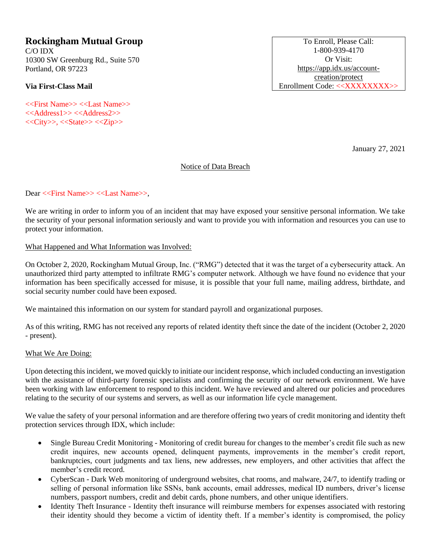# **Rockingham Mutual Group**

C/O IDX 10300 SW Greenburg Rd., Suite 570 Portland, OR 97223

**Via First-Class Mail**

<<First Name>> <<Last Name>> <<Address1>> <<Address2>>  $<>,<><>$ 

To Enroll, Please Call: 1-800-939-4170 Or Visit: [https://app.idx.us/account](https://app.idx.us/account-creation/protect)[creation/protect](https://app.idx.us/account-creation/protect) Enrollment Code: <<XXXXXXXX>>

January 27, 2021

## Notice of Data Breach

## Dear <<First Name>> <<Last Name>>,

We are writing in order to inform you of an incident that may have exposed your sensitive personal information. We take the security of your personal information seriously and want to provide you with information and resources you can use to protect your information.

#### What Happened and What Information was Involved:

On October 2, 2020, Rockingham Mutual Group, Inc. ("RMG") detected that it was the target of a cybersecurity attack. An unauthorized third party attempted to infiltrate RMG's computer network. Although we have found no evidence that your information has been specifically accessed for misuse, it is possible that your full name, mailing address, birthdate, and social security number could have been exposed.

We maintained this information on our system for standard payroll and organizational purposes.

As of this writing, RMG has not received any reports of related identity theft since the date of the incident (October 2, 2020 - present).

#### What We Are Doing:

Upon detecting this incident, we moved quickly to initiate our incident response, which included conducting an investigation with the assistance of third-party forensic specialists and confirming the security of our network environment. We have been working with law enforcement to respond to this incident. We have reviewed and altered our policies and procedures relating to the security of our systems and servers, as well as our information life cycle management.

We value the safety of your personal information and are therefore offering two years of credit monitoring and identity theft protection services through IDX, which include:

- Single Bureau Credit Monitoring Monitoring of credit bureau for changes to the member's credit file such as new credit inquires, new accounts opened, delinquent payments, improvements in the member's credit report, bankruptcies, court judgments and tax liens, new addresses, new employers, and other activities that affect the member's credit record.
- CyberScan Dark Web monitoring of underground websites, chat rooms, and malware, 24/7, to identify trading or selling of personal information like SSNs, bank accounts, email addresses, medical ID numbers, driver's license numbers, passport numbers, credit and debit cards, phone numbers, and other unique identifiers.
- Identity Theft Insurance Identity theft insurance will reimburse members for expenses associated with restoring their identity should they become a victim of identity theft. If a member's identity is compromised, the policy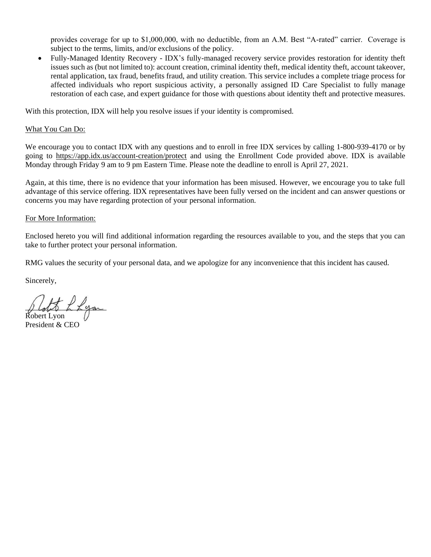provides coverage for up to \$1,000,000, with no deductible, from an A.M. Best "A-rated" carrier. Coverage is subject to the terms, limits, and/or exclusions of the policy.

• Fully-Managed Identity Recovery - IDX's fully-managed recovery service provides restoration for identity theft issues such as (but not limited to): account creation, criminal identity theft, medical identity theft, account takeover, rental application, tax fraud, benefits fraud, and utility creation. This service includes a complete triage process for affected individuals who report suspicious activity, a personally assigned ID Care Specialist to fully manage restoration of each case, and expert guidance for those with questions about identity theft and protective measures.

With this protection, IDX will help you resolve issues if your identity is compromised.

#### What You Can Do:

We encourage you to contact IDX with any questions and to enroll in free IDX services by calling 1-800-939-4170 or by going to https://app.idx.us/account-creation/protect and using the Enrollment Code provided above. IDX is available Monday through Friday 9 am to 9 pm Eastern Time. Please note the deadline to enroll is April 27, 2021.

Again, at this time, there is no evidence that your information has been misused. However, we encourage you to take full advantage of this service offering. IDX representatives have been fully versed on the incident and can answer questions or concerns you may have regarding protection of your personal information.

#### For More Information:

Enclosed hereto you will find additional information regarding the resources available to you, and the steps that you can take to further protect your personal information.

RMG values the security of your personal data, and we apologize for any inconvenience that this incident has caused.

Sincerely,

 $\bigstar$  L Lyon

Robert Lyon President & CEO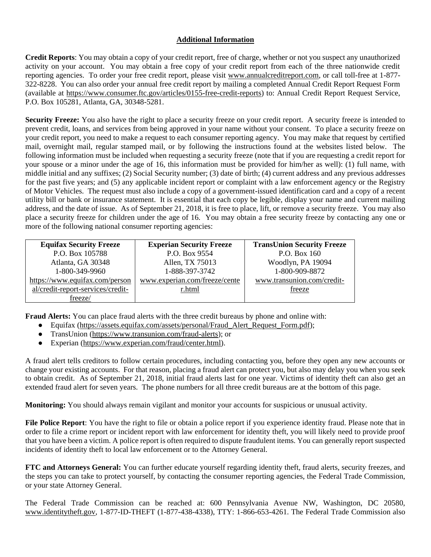# **Additional Information**

**Credit Reports**: You may obtain a copy of your credit report, free of charge, whether or not you suspect any unauthorized activity on your account. You may obtain a free copy of your credit report from each of the three nationwide credit reporting agencies. To order your free credit report, please visit www.annualcreditreport.com, or call toll-free at 1-877- 322-8228. You can also order your annual free credit report by mailing a completed Annual Credit Report Request Form (available at https://www.consumer.ftc.gov/articles/0155-free-credit-reports) to: Annual Credit Report Request Service, P.O. Box 105281, Atlanta, GA, 30348-5281.

Security Freeze: You also have the right to place a security freeze on your credit report. A security freeze is intended to prevent credit, loans, and services from being approved in your name without your consent. To place a security freeze on your credit report, you need to make a request to each consumer reporting agency. You may make that request by certified mail, overnight mail, regular stamped mail, or by following the instructions found at the websites listed below. The following information must be included when requesting a security freeze (note that if you are requesting a credit report for your spouse or a minor under the age of 16, this information must be provided for him/her as well): (1) full name, with middle initial and any suffixes; (2) Social Security number; (3) date of birth; (4) current address and any previous addresses for the past five years; and (5) any applicable incident report or complaint with a law enforcement agency or the Registry of Motor Vehicles. The request must also include a copy of a government-issued identification card and a copy of a recent utility bill or bank or insurance statement. It is essential that each copy be legible, display your name and current mailing address, and the date of issue. As of September 21, 2018, it is free to place, lift, or remove a security freeze. You may also place a security freeze for children under the age of 16. You may obtain a free security freeze by contacting any one or more of the following national consumer reporting agencies:

| <b>Equifax Security Freeze</b>    | <b>Experian Security Freeze</b> | <b>TransUnion Security Freeze</b> |
|-----------------------------------|---------------------------------|-----------------------------------|
| P.O. Box 105788                   | P.O. Box 9554                   | P.O. Box 160                      |
| Atlanta, GA 30348                 | Allen, TX 75013                 | Woodlyn, PA 19094                 |
| 1-800-349-9960                    | 1-888-397-3742                  | 1-800-909-8872                    |
| https://www.equifax.com/person    | www.experian.com/freeze/cente   | www.transunion.com/credit-        |
| al/credit-report-services/credit- | r.html                          | freeze                            |
| freeze/                           |                                 |                                   |

**Fraud Alerts:** You can place fraud alerts with the three credit bureaus by phone and online with:

- Equifax (https://assets.equifax.com/assets/personal/Fraud\_Alert\_Request\_Form.pdf);
- TransUnion (https://www.transunion.com/fraud-alerts); or
- Experian (https://www.experian.com/fraud/center.html).

A fraud alert tells creditors to follow certain procedures, including contacting you, before they open any new accounts or change your existing accounts. For that reason, placing a fraud alert can protect you, but also may delay you when you seek to obtain credit. As of September 21, 2018, initial fraud alerts last for one year. Victims of identity theft can also get an extended fraud alert for seven years. The phone numbers for all three credit bureaus are at the bottom of this page.

**Monitoring:** You should always remain vigilant and monitor your accounts for suspicious or unusual activity.

**File Police Report**: You have the right to file or obtain a police report if you experience identity fraud. Please note that in order to file a crime report or incident report with law enforcement for identity theft, you will likely need to provide proof that you have been a victim. A police report is often required to dispute fraudulent items. You can generally report suspected incidents of identity theft to local law enforcement or to the Attorney General.

**FTC and Attorneys General:** You can further educate yourself regarding identity theft, fraud alerts, security freezes, and the steps you can take to protect yourself, by contacting the consumer reporting agencies, the Federal Trade Commission, or your state Attorney General.

The Federal Trade Commission can be reached at: 600 Pennsylvania Avenue NW, Washington, DC 20580, www.identitytheft.gov, 1-877-ID-THEFT (1-877-438-4338), TTY: 1-866-653-4261. The Federal Trade Commission also